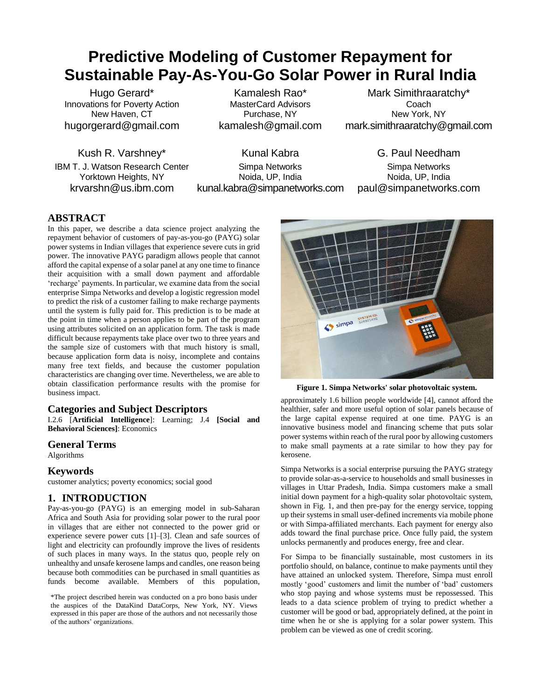# **Predictive Modeling of Customer Repayment for Sustainable Pay-As-You-Go Solar Power in Rural India**

Hugo Gerard\* Innovations for Poverty Action New Haven, CT hugorgerard@gmail.com

Kush R. Varshney\* IBM T. J. Watson Research Center Yorktown Heights, NY krvarshn@us.ibm.com

Kamalesh Rao\* MasterCard Advisors Purchase, NY kamalesh@gmail.com

Mark Simithraaratchy\* Coach New York, NY mark.simithraaratchy@gmail.com

Kunal Kabra Simpa Networks Noida, UP, India kunal.kabra@simpanetworks.com

G. Paul Needham Simpa Networks Noida, UP, India paul@simpanetworks.com

# **ABSTRACT**

In this paper, we describe a data science project analyzing the repayment behavior of customers of pay-as-you-go (PAYG) solar power systems in Indian villages that experience severe cuts in grid power. The innovative PAYG paradigm allows people that cannot afford the capital expense of a solar panel at any one time to finance their acquisition with a small down payment and affordable 'recharge' payments. In particular, we examine data from the social enterprise Simpa Networks and develop a logistic regression model to predict the risk of a customer failing to make recharge payments until the system is fully paid for. This prediction is to be made at the point in time when a person applies to be part of the program using attributes solicited on an application form. The task is made difficult because repayments take place over two to three years and the sample size of customers with that much history is small, because application form data is noisy, incomplete and contains many free text fields, and because the customer population characteristics are changing over time. Nevertheless, we are able to obtain classification performance results with the promise for business impact.

# **Categories and Subject Descriptors**

I.2.6 [**Artificial Intelligence**]: Learning; J.4 **[Social and Behavioral Sciences]**: Economics

#### **General Terms**

Algorithms

# **Keywords**

customer analytics; poverty economics; social good

# **1. INTRODUCTION**

Pay-as-you-go (PAYG) is an emerging model in sub-Saharan Africa and South Asia for providing solar power to the rural poor in villages that are either not connected to the power grid or experience severe power cuts [1]–[3]. Clean and safe sources of light and electricity can profoundly improve the lives of residents of such places in many ways. In the status quo, people rely on unhealthy and unsafe kerosene lamps and candles, one reason being because both commodities can be purchased in small quantities as funds become available. Members of this population,

\*The project described herein was conducted on a pro bono basis under the auspices of the DataKind DataCorps, New York, NY. Views expressed in this paper are those of the authors and not necessarily those of the authors' organizations.



**Figure 1. Simpa Networks' solar photovoltaic system.**

approximately 1.6 billion people worldwide [4], cannot afford the healthier, safer and more useful option of solar panels because of the large capital expense required at one time. PAYG is an innovative business model and financing scheme that puts solar power systems within reach of the rural poor by allowing customers to make small payments at a rate similar to how they pay for kerosene.

Simpa Networks is a social enterprise pursuing the PAYG strategy to provide solar-as-a-service to households and small businesses in villages in Uttar Pradesh, India. Simpa customers make a small initial down payment for a high-quality solar photovoltaic system, shown in Fig. 1, and then pre-pay for the energy service, topping up their systems in small user-defined increments via mobile phone or with Simpa-affiliated merchants. Each payment for energy also adds toward the final purchase price. Once fully paid, the system unlocks permanently and produces energy, free and clear.

For Simpa to be financially sustainable, most customers in its portfolio should, on balance, continue to make payments until they have attained an unlocked system. Therefore, Simpa must enroll mostly 'good' customers and limit the number of 'bad' customers who stop paying and whose systems must be repossessed. This leads to a data science problem of trying to predict whether a customer will be good or bad, appropriately defined, at the point in time when he or she is applying for a solar power system. This problem can be viewed as one of credit scoring.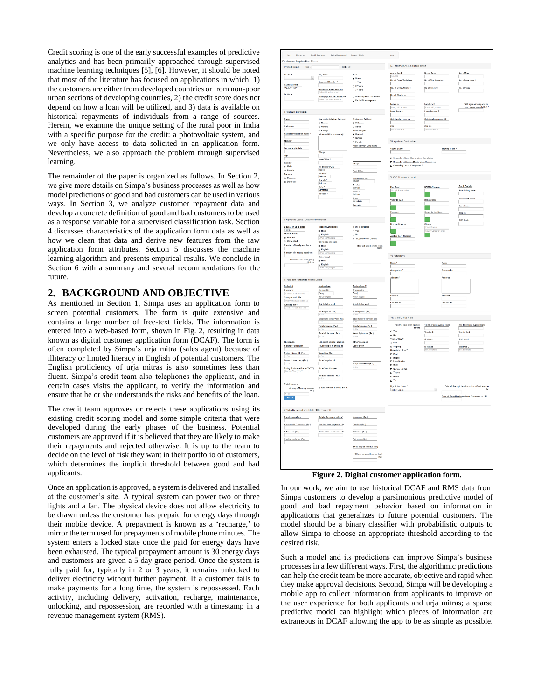Credit scoring is one of the early successful examples of predictive analytics and has been primarily approached through supervised machine learning techniques [5], [6]. However, it should be noted that most of the literature has focused on applications in which: 1) the customers are either from developed countries or from non-poor urban sections of developing countries, 2) the credit score does not depend on how a loan will be utilized, and 3) data is available on historical repayments of individuals from a range of sources. Herein, we examine the unique setting of the rural poor in India with a specific purpose for the credit: a photovoltaic system, and we only have access to data solicited in an application form. Nevertheless, we also approach the problem through supervised learning.

The remainder of the paper is organized as follows. In Section 2, we give more details on Simpa's business processes as well as how model predictions of good and bad customers can be used in various ways. In Section 3, we analyze customer repayment data and develop a concrete definition of good and bad customers to be used as a response variable for a supervised classification task. Section 4 discusses characteristics of the application form data as well as how we clean that data and derive new features from the raw application form attributes. Section 5 discusses the machine learning algorithm and presents empirical results. We conclude in Section 6 with a summary and several recommendations for the future.

# **2. BACKGROUND AND OBJECTIVE**

As mentioned in Section 1, Simpa uses an application form to screen potential customers. The form is quite extensive and contains a large number of free-text fields. The information is entered into a web-based form, shown in Fig. 2, resulting in data known as digital customer application form (DCAF). The form is often completed by Simpa's urja mitra (sales agent) because of illiteracy or limited literacy in English of potential customers. The English proficiency of urja mitras is also sometimes less than fluent. Simpa's credit team also telephones the applicant, and in certain cases visits the applicant, to verify the information and ensure that he or she understands the risks and benefits of the loan.

The credit team approves or rejects these applications using its existing credit scoring model and some simple criteria that were developed during the early phases of the business. Potential customers are approved if it is believed that they are likely to make their repayments and rejected otherwise. It is up to the team to decide on the level of risk they want in their portfolio of customers, which determines the implicit threshold between good and bad applicants.

Once an application is approved, a system is delivered and installed at the customer's site. A typical system can power two or three lights and a fan. The physical device does not allow electricity to be drawn unless the customer has prepaid for energy days through their mobile device. A prepayment is known as a 'recharge,' to mirror the term used for prepayments of mobile phone minutes. The system enters a locked state once the paid for energy days have been exhausted. The typical prepayment amount is 30 energy days and customers are given a 5 day grace period. Once the system is fully paid for, typically in 2 or 3 years, it remains unlocked to deliver electricity without further payment. If a customer fails to make payments for a long time, the system is repossessed. Each activity, including delivery, activation, recharge, maintenance, unlocking, and repossession, are recorded with a timestamp in a revenue management system (RMS).

| Oustamer +<br>Home                                                                                                                                  | Credit Deshboard - Sales Deshboard                                                                                                 | Orspot / Cash                                                                                                                                | Kutal +                                                                                                                                                                        |                                                                                                 |                                                                                        |
|-----------------------------------------------------------------------------------------------------------------------------------------------------|------------------------------------------------------------------------------------------------------------------------------------|----------------------------------------------------------------------------------------------------------------------------------------------|--------------------------------------------------------------------------------------------------------------------------------------------------------------------------------|-------------------------------------------------------------------------------------------------|----------------------------------------------------------------------------------------|
| Customer Application Form<br>Product Details *CAF-                                                                                                  | DATE IN                                                                                                                            |                                                                                                                                              | IV. Household Assets and Liabilities                                                                                                                                           |                                                                                                 |                                                                                        |
| Product<br>D<br>Paymont Type<br>Op. Lease 2yr<br>Options                                                                                            | Day Rate *<br>Expected Monthly*<br>Amount of De<br>Enter Oil not<br>unt of Downpayment *<br><b>Dowspayment Received By</b><br>team | <b>ANC</b><br>@ None<br>o 1 Year<br>O 2 Years<br>O 3 Years<br><b>Dawnpayment Received</b><br>Partial Downpayment                             | Arable land<br>No. of Cowe/Buffelose<br>No. of Geats/Sheeps<br>No. of Chickens<br>Landers                                                                                      | No. of Care<br>No of Two Wheelers<br>No of Tractors                                             | No. of T.Vs<br>No. of Inverters *<br>No. of Farm                                       |
| I. Applicant Information<br>Name *<br>Nickname                                                                                                      | <b>System Installation Address</b><br><b>&amp; Rented</b><br>O Owned                                                               | <b>Residence Address</b><br>@ Different<br>G Same                                                                                            | <b>AFL other</b><br>an Amount<br><b>Outstanding amount</b><br>EM L                                                                                                             | Landers 2<br> Bark, MFL<br>Lean Amount 2<br>Outstanding amount 2<br>E.M.I. 2                    | Willingness to spend on<br>energy per month(Rs.)                                       |
| Father's (Husband's Name<br>Mobile *<br>Secondary Mobile<br>Age<br>Gender<br>* Male                                                                 | o Family<br>Address(With Lendmark) *<br>Village <sup>+</sup><br>Post Office *                                                      | <b>Address Type</b><br><b>Rented</b><br>O Owned<br>O Family<br>Address (With Landmark)<br>Village                                            | VI. Applicant Declaration<br>Signing Date *<br>[ Secondary Name Declaration Completed<br>□ Secondary Address Declaration Completed<br>D Operating Lease Completed <sup>®</sup> | Signing Place *                                                                                 |                                                                                        |
| C Female<br>Purposo<br>C Business<br><b>R</b> Domestic                                                                                              | Block/Town/City*<br>Bald<br><b>District</b><br>Mathura<br>Branch <sup>*</sup><br>Mathura<br>State *<br>Kamataka<br>Pincade *       | Post Office<br>Block/Town/City<br>Badra<br>District<br>Motrixe<br>Branch<br>Mathura<br>State<br>scale<br>Karnataka<br>Pincode                | V. KYC Documents details<br>Pan Card<br>N runber<br>n<br>Voter Id Card                                                                                                         | NREGA Number<br><b>Ration Card</b>                                                              | <b>Bank Details</b><br>Beneficiary Name<br><b>Account Number</b><br><b>Bank Name</b>   |
| Il Operating Lease - Customer Information<br>Education upto class<br>Receie<br>Merital Status                                                       | Spoken Languages<br># Hindi                                                                                                        | is site electrified<br>O Yes<br>o No                                                                                                         | Passport<br>г.<br>Driving License<br>m.                                                                                                                                        | <b>Simpa Letter Num</b><br>г.<br>Others<br>preof<br>ype or pr.<br>Mae:Num<br>on<br>ber of procf | Branch<br><b>IFSC Code</b>                                                             |
| a Married<br>C Unmarried<br><b>Number of family members</b><br>Number of earning members                                                            | D English<br>Written Languages<br><b>K</b> Hindi<br><b>English</b><br>Understand                                                   | If Yes, power cut (hours)<br>How will you benefit from<br>SHS?                                                                               | Aadhar Card Number<br>VI References                                                                                                                                            |                                                                                                 |                                                                                        |
| Number of school going<br>children<br>II. Applicant Household Income Details                                                                        | $\equiv$ Hindi<br>on<br><u>D</u> English<br> ⊖p∽                                                                                   |                                                                                                                                              | Name *<br>Occupation *<br>Address <sup>*</sup>                                                                                                                                 | Occupation<br>Address                                                                           |                                                                                        |
| Salaried<br>Company<br>Profession of Salarioo<br>i<br><b>Salary/Month (Rs.)</b><br>[Salary of Salarice (In Rs.)<br>Norking Since<br>ad (XX)         | Agriculture<br>Commodity<br>Paddy<br>Harvestiyear<br>Quintals/harvest<br><b>Price/quintal (Rs.)</b><br> In Rs.                     | Agriculture 2<br>Commodity<br>Paddy<br>1<br>Henvest/year<br>Quintale/harvest<br>Price/quintal (Rs.)                                          | Pincode<br>Contact no <sup>+</sup>                                                                                                                                             | Piscode<br>Contact no                                                                           |                                                                                        |
| <b>Business</b>                                                                                                                                     | Expenditure/harvest (Rs.)<br>Yearly Income (Rs.)<br>Monthly Income (Re.)<br>LabounContract Wages                                   | Expenditure/harvest (Rs.)<br>Yearly Income (Rs.)<br>Monthly Income (Re.)<br><b>IN R</b><br>Other sources                                     | VII. Only For Uga Mina<br>Has the applicant applied<br>before<br>O Yes<br>e No<br>Type of Roof *<br>$\bullet$ Flat                                                             | 1st Recharge Agent Nam<br>Vendor Id<br>Address                                                  | 2nd Recharge Agent Name<br>Vendor Id-2<br>Address-2                                    |
| Nature of Business<br>Net profit/month (Rs.)<br>Value of Inventory (Rs.)<br><b>Doing Business Since (YYYY)</b><br>ing Year(YY                       | Source/Type of business<br>Wage/day (Rs.)<br>No. of days/month<br>No. of months/year<br>Monthly Income (Rs.)                       | Description<br>Net profitimonth (Rs.)<br>h Rs.                                                                                               | $\circ$ Sloping<br>Material of Road *<br><b>D</b> Hud<br>$\square$ Bricks<br>□ Lime Mertan<br>$\Box$ Rock<br>Concrete RCC<br>$\Box$ Thatch<br>$\Box$ Wood<br>$n \, \mathrm{m}$ | Distance                                                                                        | Distance-2                                                                             |
| <b>Total Income</b><br>tas mww<br>Arerage Monthly Income<br>Ra)<br>$_{\rm{Coulute}}$                                                                | C: Add Another Income Block                                                                                                        |                                                                                                                                              | Urja Mitra Name 1<br>Select Vender                                                                                                                                             | $\overline{\phantom{a}}$                                                                        | Date of Receipt Handover from Customer to<br>Date of Form Handover from Customer to UM |
| (b) Monthly expenditure details of the household<br>RentLease (Rs.)<br>Household Graceries (Rs.)<br><b>Boucation (Rs.)</b><br>Healthimedicine (Rs.) | Mobile Recharges (Rs.) *<br>Existing loan payment (Rs.)<br>Other misc. expenses (Rs.)                                              | Kerosene (Rs.)<br>Candies (Rs.)<br>Betteries (Ra.)<br>Petromax (Rs.)<br>Electricity billimonth (Re.)<br>Others expenditure on light<br>(Rs.) |                                                                                                                                                                                |                                                                                                 |                                                                                        |

**Figure 2. Digital customer application form.**

In our work, we aim to use historical DCAF and RMS data from Simpa customers to develop a parsimonious predictive model of good and bad repayment behavior based on information in applications that generalizes to future potential customers. The model should be a binary classifier with probabilistic outputs to allow Simpa to choose an appropriate threshold according to the desired risk.

Such a model and its predictions can improve Simpa's business processes in a few different ways. First, the algorithmic predictions can help the credit team be more accurate, objective and rapid when they make approval decisions. Second, Simpa will be developing a mobile app to collect information from applicants to improve on the user experience for both applicants and urja mitras; a sparse predictive model can highlight which pieces of information are extraneous in DCAF allowing the app to be as simple as possible.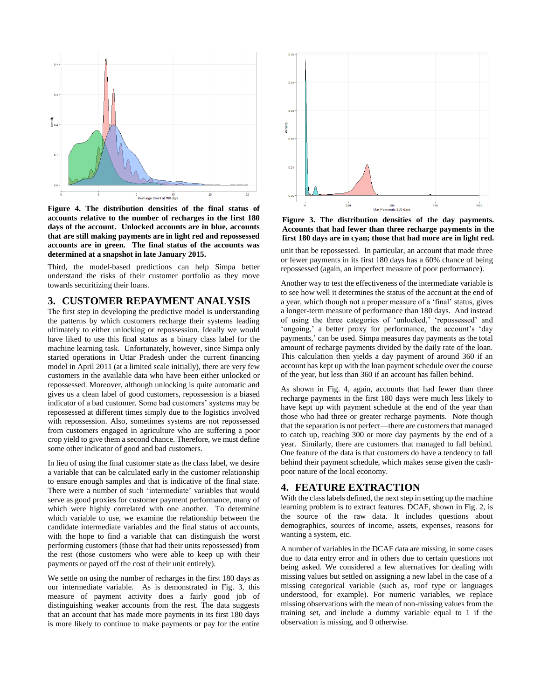

**Figure 4. The distribution densities of the final status of accounts relative to the number of recharges in the first 180 days of the account. Unlocked accounts are in blue, accounts that are still making payments are in light red and repossessed accounts are in green. The final status of the accounts was determined at a snapshot in late January 2015.**

Third, the model-based predictions can help Simpa better understand the risks of their customer portfolio as they move towards securitizing their loans.

# **3. CUSTOMER REPAYMENT ANALYSIS**

The first step in developing the predictive model is understanding the patterns by which customers recharge their systems leading ultimately to either unlocking or repossession. Ideally we would have liked to use this final status as a binary class label for the machine learning task. Unfortunately, however, since Simpa only started operations in Uttar Pradesh under the current financing model in April 2011 (at a limited scale initially), there are very few customers in the available data who have been either unlocked or repossessed. Moreover, although unlocking is quite automatic and gives us a clean label of good customers, repossession is a biased indicator of a bad customer. Some bad customers' systems may be repossessed at different times simply due to the logistics involved with repossession. Also, sometimes systems are not repossessed from customers engaged in agriculture who are suffering a poor crop yield to give them a second chance. Therefore, we must define some other indicator of good and bad customers.

In lieu of using the final customer state as the class label, we desire a variable that can be calculated early in the customer relationship to ensure enough samples and that is indicative of the final state. There were a number of such 'intermediate' variables that would serve as good proxies for customer payment performance, many of which were highly correlated with one another. To determine which variable to use, we examine the relationship between the candidate intermediate variables and the final status of accounts, with the hope to find a variable that can distinguish the worst performing customers (those that had their units repossessed) from the rest (those customers who were able to keep up with their payments or payed off the cost of their unit entirely).

We settle on using the number of recharges in the first 180 days as our intermediate variable. As is demonstrated in Fig. 3, this measure of payment activity does a fairly good job of distinguishing weaker accounts from the rest. The data suggests that an account that has made more payments in its first 180 days is more likely to continue to make payments or pay for the entire



**Figure 3. The distribution densities of the day payments. Accounts that had fewer than three recharge payments in the first 180 days are in cyan; those that had more are in light red.**

unit than be repossessed. In particular, an account that made three or fewer payments in its first 180 days has a 60% chance of being repossessed (again, an imperfect measure of poor performance).

Another way to test the effectiveness of the intermediate variable is to see how well it determines the status of the account at the end of a year, which though not a proper measure of a 'final' status, gives a longer-term measure of performance than 180 days. And instead of using the three categories of 'unlocked,' 'repossessed' and 'ongoing,' a better proxy for performance, the account's 'day payments,' can be used. Simpa measures day payments as the total amount of recharge payments divided by the daily rate of the loan. This calculation then yields a day payment of around 360 if an account has kept up with the loan payment schedule over the course of the year, but less than 360 if an account has fallen behind.

As shown in Fig. 4, again, accounts that had fewer than three recharge payments in the first 180 days were much less likely to have kept up with payment schedule at the end of the year than those who had three or greater recharge payments. Note though that the separation is not perfect—there are customers that managed to catch up, reaching 300 or more day payments by the end of a year. Similarly, there are customers that managed to fall behind. One feature of the data is that customers do have a tendency to fall behind their payment schedule, which makes sense given the cashpoor nature of the local economy.

# **4. FEATURE EXTRACTION**

With the class labels defined, the next step in setting up the machine learning problem is to extract features. DCAF, shown in Fig. 2, is the source of the raw data. It includes questions about demographics, sources of income, assets, expenses, reasons for wanting a system, etc.

A number of variables in the DCAF data are missing, in some cases due to data entry error and in others due to certain questions not being asked. We considered a few alternatives for dealing with missing values but settled on assigning a new label in the case of a missing categorical variable (such as, roof type or languages understood, for example). For numeric variables, we replace missing observations with the mean of non-missing values from the training set, and include a dummy variable equal to 1 if the observation is missing, and 0 otherwise.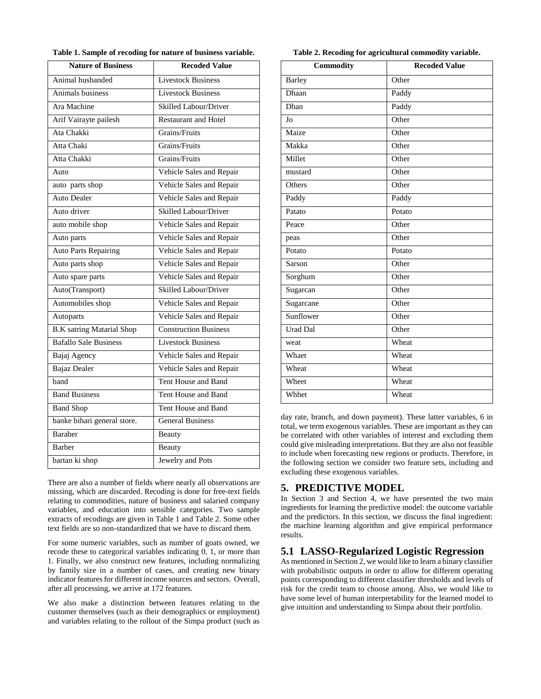|  |  |  |  |  |  |  |  |  | Table 1. Sample of recoding for nature of business variable. |  |  |  |  |  |
|--|--|--|--|--|--|--|--|--|--------------------------------------------------------------|--|--|--|--|--|
|--|--|--|--|--|--|--|--|--|--------------------------------------------------------------|--|--|--|--|--|

| <b>Nature of Business</b>        | <b>Recoded Value</b>         |
|----------------------------------|------------------------------|
| Animal husbanded                 | <b>Livestock Business</b>    |
| Animals business                 | <b>Livestock Business</b>    |
| Ara Machine                      | Skilled Labour/Driver        |
| Arif Vairayte pailesh            | <b>Restaurant and Hotel</b>  |
| Ata Chakki                       | Grains/Fruits                |
| Atta Chaki                       | Grains/Fruits                |
| Atta Chakki                      | Grains/Fruits                |
| Auto                             | Vehicle Sales and Repair     |
| auto parts shop                  | Vehicle Sales and Repair     |
| <b>Auto Dealer</b>               | Vehicle Sales and Repair     |
| Auto driver                      | Skilled Labour/Driver        |
| auto mobile shop                 | Vehicle Sales and Repair     |
| Auto parts                       | Vehicle Sales and Repair     |
| <b>Auto Parts Repairing</b>      | Vehicle Sales and Repair     |
| Auto parts shop                  | Vehicle Sales and Repair     |
| Auto spare parts                 | Vehicle Sales and Repair     |
| Auto(Transport)                  | Skilled Labour/Driver        |
| Automobiles shop                 | Vehicle Sales and Repair     |
| Autoparts                        | Vehicle Sales and Repair     |
| <b>B.K</b> satring Matarial Shop | <b>Construction Business</b> |
| <b>Bafallo Sale Business</b>     | <b>Livestock Business</b>    |
| Bajaj Agency                     | Vehicle Sales and Repair     |
| <b>Bajaz Dealer</b>              | Vehicle Sales and Repair     |
| band                             | Tent House and Band          |
| <b>Band Business</b>             | Tent House and Band          |
| <b>Band Shop</b>                 | Tent House and Band          |
| banke bihari general store.      | <b>General Business</b>      |
| <b>Baraber</b>                   | Beauty                       |
| <b>Barber</b>                    | Beauty                       |
| bartan ki shop                   | Jewelry and Pots             |

There are also a number of fields where nearly all observations are missing, which are discarded. Recoding is done for free-text fields relating to commodities, nature of business and salaried company variables, and education into sensible categories. Two sample extracts of recodings are given in Table 1 and Table 2. Some other text fields are so non-standardized that we have to discard them.

For some numeric variables, such as number of goats owned, we recode these to categorical variables indicating 0, 1, or more than 1. Finally, we also construct new features, including normalizing by family size in a number of cases, and creating new binary indicator features for different income sources and sectors. Overall, after all processing, we arrive at 172 features.

We also make a distinction between features relating to the customer themselves (such as their demographics or employment) and variables relating to the rollout of the Simpa product (such as

|  |  |  | Table 2. Recoding for agricultural commodity variable. |  |  |
|--|--|--|--------------------------------------------------------|--|--|
|--|--|--|--------------------------------------------------------|--|--|

| Commodity       | <b>Recoded Value</b> |
|-----------------|----------------------|
| <b>Barley</b>   | Other                |
| Dhaan           | Paddy                |
| Dhan            | Paddy                |
| Jo              | Other                |
| Maize           | Other                |
| Makka           | Other                |
| Millet          | Other                |
| mustard         | Other                |
| Others          | Other                |
| Paddy           | Paddy                |
| Patato          | Potato               |
| Peace           | Other                |
| peas            | Other                |
| Potato          | Potato               |
| Sarson          | Other                |
| Sorghum         | Other                |
| Sugarcan        | Other                |
| Sugarcane       | Other                |
| Sunflower       | Other                |
| <b>Urad Dal</b> | Other                |
| weat            | Wheat                |
| Whaet           | Wheat                |
| Wheat           | Wheat                |
| Wheet           | Wheat                |
| Whhet           | Wheat                |

day rate, branch, and down payment). These latter variables, 6 in total, we term exogenous variables. These are important as they can be correlated with other variables of interest and excluding them could give misleading interpretations. But they are also not feasible to include when forecasting new regions or products. Therefore, in the following section we consider two feature sets, including and excluding these exogenous variables.

# **5. PREDICTIVE MODEL**

In Section 3 and Section 4, we have presented the two main ingredients for learning the predictive model: the outcome variable and the predictors. In this section, we discuss the final ingredient: the machine learning algorithm and give empirical performance results.

#### **5.1 LASSO-Regularized Logistic Regression**

As mentioned in Section 2, we would like to learn a binary classifier with probabilistic outputs in order to allow for different operating points corresponding to different classifier thresholds and levels of risk for the credit team to choose among. Also, we would like to have some level of human interpretability for the learned model to give intuition and understanding to Simpa about their portfolio.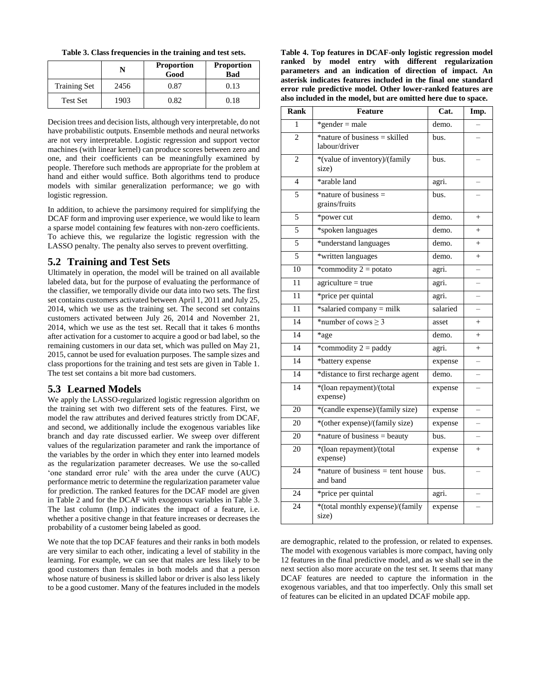**Table 3. Class frequencies in the training and test sets.**

|                     | N    | <b>Proportion</b><br>Good | <b>Proportion</b><br><b>Bad</b> |
|---------------------|------|---------------------------|---------------------------------|
| <b>Training Set</b> | 2456 | 0.87                      | 0.13                            |
| <b>Test Set</b>     | 1903 | 0.82                      | 0.18                            |

Decision trees and decision lists, although very interpretable, do not have probabilistic outputs. Ensemble methods and neural networks are not very interpretable. Logistic regression and support vector machines (with linear kernel) can produce scores between zero and one, and their coefficients can be meaningfully examined by people. Therefore such methods are appropriate for the problem at hand and either would suffice. Both algorithms tend to produce models with similar generalization performance; we go with logistic regression.

In addition, to achieve the parsimony required for simplifying the DCAF form and improving user experience, we would like to learn a sparse model containing few features with non-zero coefficients. To achieve this, we regularize the logistic regression with the LASSO penalty. The penalty also serves to prevent overfitting.

#### **5.2 Training and Test Sets**

Ultimately in operation, the model will be trained on all available labeled data, but for the purpose of evaluating the performance of the classifier, we temporally divide our data into two sets. The first set contains customers activated between April 1, 2011 and July 25, 2014, which we use as the training set. The second set contains customers activated between July 26, 2014 and November 21, 2014, which we use as the test set. Recall that it takes 6 months after activation for a customer to acquire a good or bad label, so the remaining customers in our data set, which was pulled on May 21, 2015, cannot be used for evaluation purposes. The sample sizes and class proportions for the training and test sets are given in Table 1. The test set contains a bit more bad customers.

# **5.3 Learned Models**

We apply the LASSO-regularized logistic regression algorithm on the training set with two different sets of the features. First, we model the raw attributes and derived features strictly from DCAF, and second, we additionally include the exogenous variables like branch and day rate discussed earlier. We sweep over different values of the regularization parameter and rank the importance of the variables by the order in which they enter into learned models as the regularization parameter decreases. We use the so-called 'one standard error rule' with the area under the curve (AUC) performance metric to determine the regularization parameter value for prediction. The ranked features for the DCAF model are given in Table 2 and for the DCAF with exogenous variables in Table 3. The last column (Imp.) indicates the impact of a feature, i.e. whether a positive change in that feature increases or decreases the probability of a customer being labeled as good.

We note that the top DCAF features and their ranks in both models are very similar to each other, indicating a level of stability in the learning. For example, we can see that males are less likely to be good customers than females in both models and that a person whose nature of business is skilled labor or driver is also less likely to be a good customer. Many of the features included in the models

**Table 4. Top features in DCAF-only logistic regression model ranked by model entry with different regularization parameters and an indication of direction of impact. An asterisk indicates features included in the final one standard error rule predictive model. Other lower-ranked features are also included in the model, but are omitted here due to space.**

| Rank            | Feature                                         | Cat.     | Imp.                     |
|-----------------|-------------------------------------------------|----------|--------------------------|
| 1               | *gender = male                                  | demo.    |                          |
| $\overline{c}$  | *nature of business = skilled<br>labour/driver  | bus.     |                          |
| $\overline{c}$  | *(value of inventory)/(family<br>size)          | bus.     |                          |
| $\overline{4}$  | *arable land                                    | agri.    |                          |
| 5               | *nature of business $=$<br>grains/fruits        | bus.     |                          |
| 5               | *power cut                                      | demo.    | $^{+}$                   |
| 5               | *spoken languages                               | demo.    | $^{+}$                   |
| 5               | *understand languages                           | demo.    | $^{+}$                   |
| 5               | *written languages                              | demo.    | $^{+}$                   |
| 10              | *commodity $2 =$ potato                         | agri.    |                          |
| 11              | $agriculture = true$                            | agri.    |                          |
| $\overline{11}$ | *price per quintal                              | agri.    |                          |
| 11              | *salaried company = milk                        | salaried |                          |
| 14              | *number of cows $\geq$ 3                        | asset    | $^{+}$                   |
| 14              | *age                                            | demo.    | $^{+}$                   |
| 14              | *commodity $2 =$ paddy                          | agri.    | $^{+}$                   |
| 14              | *battery expense                                | expense  | $\equiv$                 |
| 14              | *distance to first recharge agent               | demo.    | $\overline{\phantom{0}}$ |
| 14              | *(loan repayment)/(total<br>expense)            | expense  |                          |
| $\overline{20}$ | *(candle expense)/(family size)                 | expense  |                          |
| 20              | *(other expense)/(family size)                  | expense  |                          |
| 20              | *nature of business = beauty                    | bus.     |                          |
| 20              | *(loan repayment)/(total<br>expense)            | expense  | $\! + \!\!\!\!$          |
| 24              | $*$ nature of business = tent house<br>and band | bus.     |                          |
| 24              | *price per quintal                              | agri.    |                          |
| 24              | *(total monthly expense)/(family<br>size)       | expense  |                          |

are demographic, related to the profession, or related to expenses. The model with exogenous variables is more compact, having only 12 features in the final predictive model, and as we shall see in the next section also more accurate on the test set. It seems that many DCAF features are needed to capture the information in the exogenous variables, and that too imperfectly. Only this small set of features can be elicited in an updated DCAF mobile app.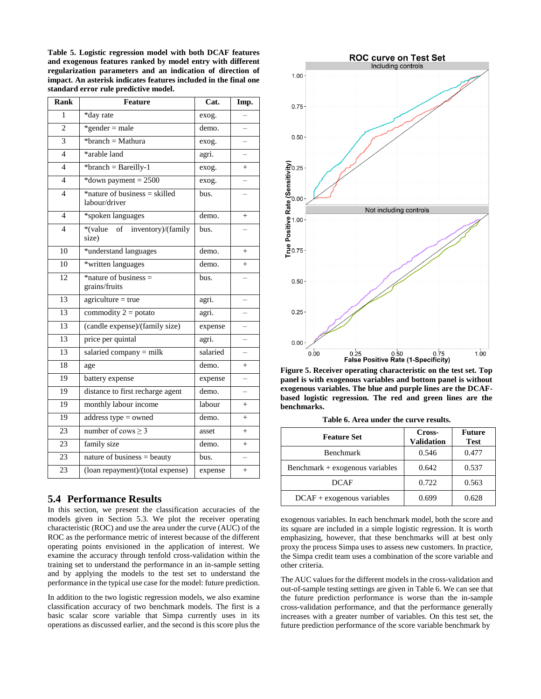**Table 5. Logistic regression model with both DCAF features and exogenous features ranked by model entry with different regularization parameters and an indication of direction of impact. An asterisk indicates features included in the final one standard error rule predictive model.**

| <b>Rank</b>    | Feature                                           | Cat.     | Imp.                     |
|----------------|---------------------------------------------------|----------|--------------------------|
| 1              | *day rate                                         | exog.    |                          |
| $\overline{c}$ | $*$ gender = male                                 | demo.    |                          |
| $\overline{3}$ | *branch = Mathura                                 | exog.    |                          |
| $\overline{4}$ | *arable land                                      | agri.    |                          |
| $\overline{4}$ | *branch = Bareilly-1                              | exog.    | $^{+}$                   |
| $\overline{4}$ | *down payment = $2500$                            | exog.    |                          |
| $\overline{4}$ | $*$ nature of business = skilled<br>labour/driver | bus.     |                          |
| $\overline{4}$ | *spoken languages                                 | demo.    | $^{+}$                   |
| $\overline{4}$ | *(value<br>of inventory)/(family<br>size)         | bus.     |                          |
| 10             | *understand languages                             | demo.    | $^{+}$                   |
| 10             | *written languages                                | demo.    | $^{+}$                   |
| 12             | *nature of business $=$<br>grains/fruits          | bus.     |                          |
| 13             | $agriculture = true$                              | agri.    |                          |
| 13             | commodity $2 =$ potato                            | agri.    |                          |
| 13             | (candle expense)/(family size)                    | expense  | $\overline{\phantom{0}}$ |
| 13             | price per quintal                                 | agri.    |                          |
| 13             | salaried company = milk                           | salaried |                          |
| 18             | age                                               | demo.    | $^{+}$                   |
| 19             | battery expense                                   | expense  | $\overline{a}$           |
| 19             | distance to first recharge agent                  | demo.    |                          |
| 19             | monthly labour income                             | labour   | $^{+}$                   |
| 19             | address type $=$ owned                            | demo.    | $^{+}$                   |
| 23             | number of cows $\geq 3$                           | asset    | $^{+}$                   |
| 23             | family size                                       | demo.    | $^{+}$                   |
| 23             | nature of business $=$ beauty                     | bus.     | $\overline{\phantom{0}}$ |
| 23             | (loan repayment)/(total expense)                  | expense  | $^{+}$                   |
|                |                                                   |          |                          |

# **5.4 Performance Results**

In this section, we present the classification accuracies of the models given in Section 5.3. We plot the receiver operating characteristic (ROC) and use the area under the curve (AUC) of the ROC as the performance metric of interest because of the different operating points envisioned in the application of interest. We examine the accuracy through tenfold cross-validation within the training set to understand the performance in an in-sample setting and by applying the models to the test set to understand the performance in the typical use case for the model: future prediction.

In addition to the two logistic regression models, we also examine classification accuracy of two benchmark models. The first is a basic scalar score variable that Simpa currently uses in its operations as discussed earlier, and the second is this score plus the



**Figure 5. Receiver operating characteristic on the test set. Top panel is with exogenous variables and bottom panel is without exogenous variables. The blue and purple lines are the DCAFbased logistic regression. The red and green lines are the benchmarks.**

| Table 6. Area under the curve results. |  |  |  |
|----------------------------------------|--|--|--|
|----------------------------------------|--|--|--|

| <b>Feature Set</b>              | Cross-<br><b>Validation</b> | <b>Future</b><br><b>Test</b> |
|---------------------------------|-----------------------------|------------------------------|
| <b>Benchmark</b>                | 0.546                       | 0.477                        |
| Benchmark + exogenous variables | 0.642                       | 0.537                        |
| <b>DCAF</b>                     | 0.722                       | 0.563                        |
| $DCAF + exogenous variables$    | 0.699                       | 0.628                        |

exogenous variables. In each benchmark model, both the score and its square are included in a simple logistic regression. It is worth emphasizing, however, that these benchmarks will at best only proxy the process Simpa uses to assess new customers. In practice, the Simpa credit team uses a combination of the score variable and other criteria.

The AUC values for the different models in the cross-validation and out-of-sample testing settings are given in Table 6. We can see that the future prediction performance is worse than the in-sample cross-validation performance, and that the performance generally increases with a greater number of variables. On this test set, the future prediction performance of the score variable benchmark by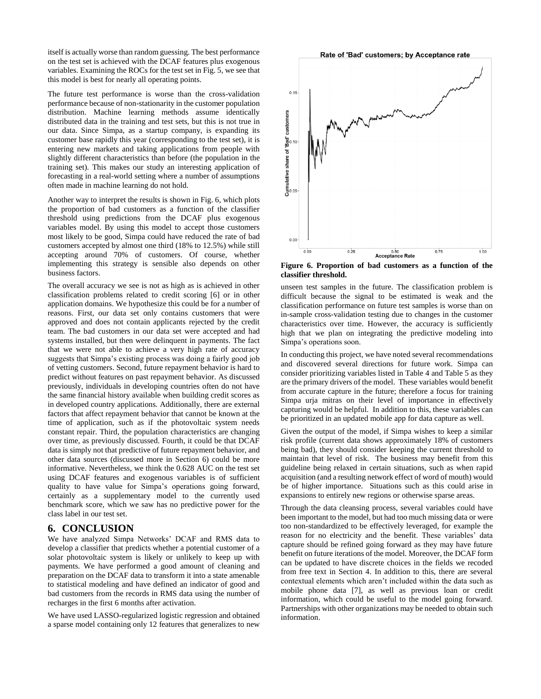itself is actually worse than random guessing. The best performance on the test set is achieved with the DCAF features plus exogenous variables. Examining the ROCs for the test set in Fig. 5, we see that this model is best for nearly all operating points.

The future test performance is worse than the cross-validation performance because of non-stationarity in the customer population distribution. Machine learning methods assume identically distributed data in the training and test sets, but this is not true in our data. Since Simpa, as a startup company, is expanding its customer base rapidly this year (corresponding to the test set), it is entering new markets and taking applications from people with slightly different characteristics than before (the population in the training set). This makes our study an interesting application of forecasting in a real-world setting where a number of assumptions often made in machine learning do not hold.

Another way to interpret the results is shown in Fig. 6, which plots the proportion of bad customers as a function of the classifier threshold using predictions from the DCAF plus exogenous variables model. By using this model to accept those customers most likely to be good, Simpa could have reduced the rate of bad customers accepted by almost one third (18% to 12.5%) while still accepting around 70% of customers. Of course, whether implementing this strategy is sensible also depends on other business factors.

The overall accuracy we see is not as high as is achieved in other classification problems related to credit scoring [6] or in other application domains. We hypothesize this could be for a number of reasons. First, our data set only contains customers that were approved and does not contain applicants rejected by the credit team. The bad customers in our data set were accepted and had systems installed, but then were delinquent in payments. The fact that we were not able to achieve a very high rate of accuracy suggests that Simpa's existing process was doing a fairly good job of vetting customers. Second, future repayment behavior is hard to predict without features on past repayment behavior. As discussed previously, individuals in developing countries often do not have the same financial history available when building credit scores as in developed country applications. Additionally, there are external factors that affect repayment behavior that cannot be known at the time of application, such as if the photovoltaic system needs constant repair. Third, the population characteristics are changing over time, as previously discussed. Fourth, it could be that DCAF data is simply not that predictive of future repayment behavior, and other data sources (discussed more in Section 6) could be more informative. Nevertheless, we think the 0.628 AUC on the test set using DCAF features and exogenous variables is of sufficient quality to have value for Simpa's operations going forward, certainly as a supplementary model to the currently used benchmark score, which we saw has no predictive power for the class label in our test set.

#### **6. CONCLUSION**

We have analyzed Simpa Networks' DCAF and RMS data to develop a classifier that predicts whether a potential customer of a solar photovoltaic system is likely or unlikely to keep up with payments. We have performed a good amount of cleaning and preparation on the DCAF data to transform it into a state amenable to statistical modeling and have defined an indicator of good and bad customers from the records in RMS data using the number of recharges in the first 6 months after activation.

We have used LASSO-regularized logistic regression and obtained a sparse model containing only 12 features that generalizes to new



**Figure 6. Proportion of bad customers as a function of the classifier threshold.**

unseen test samples in the future. The classification problem is difficult because the signal to be estimated is weak and the classification performance on future test samples is worse than on in-sample cross-validation testing due to changes in the customer characteristics over time. However, the accuracy is sufficiently high that we plan on integrating the predictive modeling into Simpa's operations soon.

In conducting this project, we have noted several recommendations and discovered several directions for future work. Simpa can consider prioritizing variables listed in Table 4 and Table 5 as they are the primary drivers of the model. These variables would benefit from accurate capture in the future; therefore a focus for training Simpa urja mitras on their level of importance in effectively capturing would be helpful. In addition to this, these variables can be prioritized in an updated mobile app for data capture as well.

Given the output of the model, if Simpa wishes to keep a similar risk profile (current data shows approximately 18% of customers being bad), they should consider keeping the current threshold to maintain that level of risk. The business may benefit from this guideline being relaxed in certain situations, such as when rapid acquisition (and a resulting network effect of word of mouth) would be of higher importance. Situations such as this could arise in expansions to entirely new regions or otherwise sparse areas.

Through the data cleansing process, several variables could have been important to the model, but had too much missing data or were too non-standardized to be effectively leveraged, for example the reason for no electricity and the benefit. These variables' data capture should be refined going forward as they may have future benefit on future iterations of the model. Moreover, the DCAF form can be updated to have discrete choices in the fields we recoded from free text in Section 4. In addition to this, there are several contextual elements which aren't included within the data such as mobile phone data [7], as well as previous loan or credit information, which could be useful to the model going forward. Partnerships with other organizations may be needed to obtain such information.